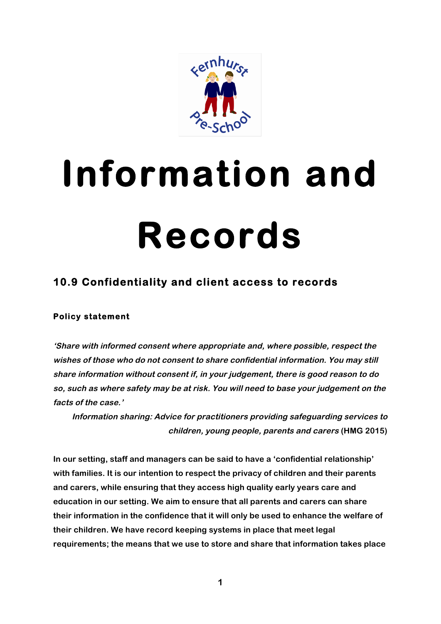

# **Information and Records**

## **10.9 Confidentiality and client access to records**

#### **Policy statement**

**'Share with informed consent where appropriate and, where possible, respect the wishes of those who do not consent to share confidential information. You may still share information without consent if, in your judgement, there is good reason to do so, such as where safety may be at risk. You will need to base your judgement on the facts of the case.'**

**Information sharing: Advice for practitioners providing safeguarding services to children, young people, parents and carers (HMG 2015)**

**In our setting, staff and managers can be said to have a 'confidential relationship' with families. It is our intention to respect the privacy of children and their parents and carers, while ensuring that they access high quality early years care and education in our setting. We aim to ensure that all parents and carers can share their information in the confidence that it will only be used to enhance the welfare of their children. We have record keeping systems in place that meet legal requirements; the means that we use to store and share that information takes place**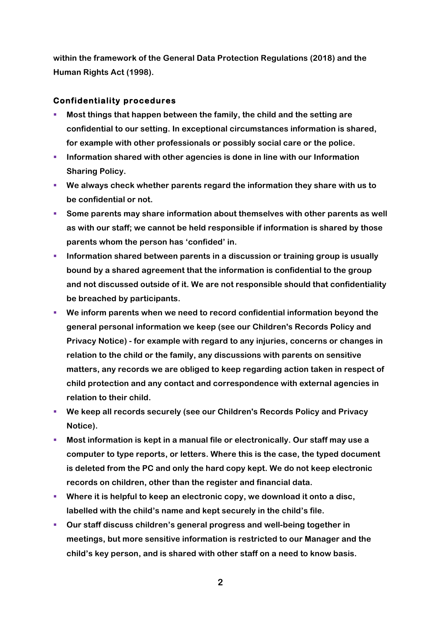**within the framework of the General Data Protection Regulations (2018) and the Human Rights Act (1998).** 

#### **Confidentiality procedures**

- § **Most things that happen between the family, the child and the setting are confidential to our setting. In exceptional circumstances information is shared, for example with other professionals or possibly social care or the police.**
- § **Information shared with other agencies is done in line with our Information Sharing Policy.**
- § **We always check whether parents regard the information they share with us to be confidential or not.**
- § **Some parents may share information about themselves with other parents as well as with our staff; we cannot be held responsible if information is shared by those parents whom the person has 'confided' in.**
- § **Information shared between parents in a discussion or training group is usually bound by a shared agreement that the information is confidential to the group and not discussed outside of it. We are not responsible should that confidentiality be breached by participants.**
- § **We inform parents when we need to record confidential information beyond the general personal information we keep (see our Children's Records Policy and Privacy Notice) - for example with regard to any injuries, concerns or changes in relation to the child or the family, any discussions with parents on sensitive matters, any records we are obliged to keep regarding action taken in respect of child protection and any contact and correspondence with external agencies in relation to their child.**
- § **We keep all records securely (see our Children's Records Policy and Privacy Notice).**
- § **Most information is kept in a manual file or electronically. Our staff may use a computer to type reports, or letters. Where this is the case, the typed document is deleted from the PC and only the hard copy kept. We do not keep electronic records on children, other than the register and financial data.**
- § **Where it is helpful to keep an electronic copy, we download it onto a disc, labelled with the child's name and kept securely in the child's file.**
- § **Our staff discuss children's general progress and well-being together in meetings, but more sensitive information is restricted to our Manager and the child's key person, and is shared with other staff on a need to know basis.**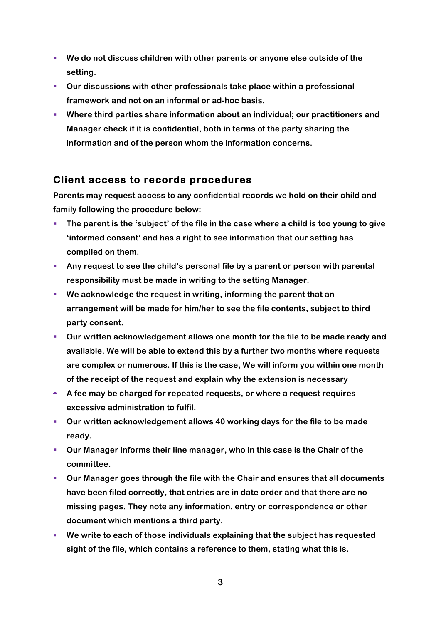- § **We do not discuss children with other parents or anyone else outside of the setting.**
- § **Our discussions with other professionals take place within a professional framework and not on an informal or ad-hoc basis.**
- § **Where third parties share information about an individual; our practitioners and Manager check if it is confidential, both in terms of the party sharing the information and of the person whom the information concerns.**

### **Client access to records procedures**

**Parents may request access to any confidential records we hold on their child and family following the procedure below:**

- § **The parent is the 'subject' of the file in the case where a child is too young to give 'informed consent' and has a right to see information that our setting has compiled on them.**
- § **Any request to see the child's personal file by a parent or person with parental responsibility must be made in writing to the setting Manager.**
- § **We acknowledge the request in writing, informing the parent that an arrangement will be made for him/her to see the file contents, subject to third party consent.**
- § **Our written acknowledgement allows one month for the file to be made ready and available. We will be able to extend this by a further two months where requests are complex or numerous. If this is the case, We will inform you within one month of the receipt of the request and explain why the extension is necessary**
- § **A fee may be charged for repeated requests, or where a request requires excessive administration to fulfil.**
- § **Our written acknowledgement allows 40 working days for the file to be made ready.**
- § **Our Manager informs their line manager, who in this case is the Chair of the committee.**
- § **Our Manager goes through the file with the Chair and ensures that all documents have been filed correctly, that entries are in date order and that there are no missing pages. They note any information, entry or correspondence or other document which mentions a third party.**
- § **We write to each of those individuals explaining that the subject has requested sight of the file, which contains a reference to them, stating what this is.**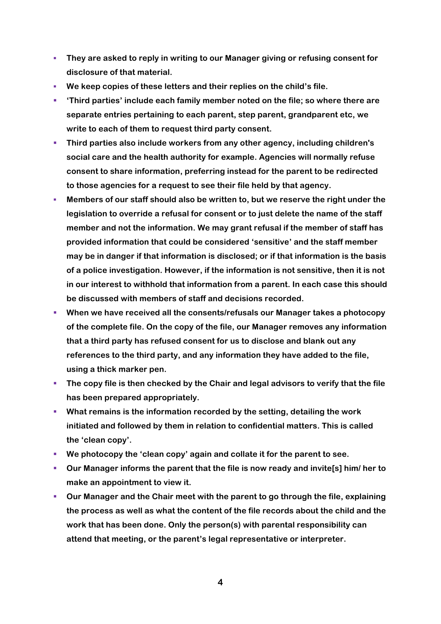- § **They are asked to reply in writing to our Manager giving or refusing consent for disclosure of that material.**
- § **We keep copies of these letters and their replies on the child's file.**
- § **'Third parties' include each family member noted on the file; so where there are separate entries pertaining to each parent, step parent, grandparent etc, we write to each of them to request third party consent.**
- § **Third parties also include workers from any other agency, including children's social care and the health authority for example. Agencies will normally refuse consent to share information, preferring instead for the parent to be redirected to those agencies for a request to see their file held by that agency.**
- § **Members of our staff should also be written to, but we reserve the right under the legislation to override a refusal for consent or to just delete the name of the staff member and not the information. We may grant refusal if the member of staff has provided information that could be considered 'sensitive' and the staff member may be in danger if that information is disclosed; or if that information is the basis of a police investigation. However, if the information is not sensitive, then it is not in our interest to withhold that information from a parent. In each case this should be discussed with members of staff and decisions recorded.**
- § **When we have received all the consents/refusals our Manager takes a photocopy of the complete file. On the copy of the file, our Manager removes any information that a third party has refused consent for us to disclose and blank out any references to the third party, and any information they have added to the file, using a thick marker pen.**
- § **The copy file is then checked by the Chair and legal advisors to verify that the file has been prepared appropriately.**
- § **What remains is the information recorded by the setting, detailing the work initiated and followed by them in relation to confidential matters. This is called the 'clean copy'.**
- § **We photocopy the 'clean copy' again and collate it for the parent to see.**
- § **Our Manager informs the parent that the file is now ready and invite[s] him/ her to make an appointment to view it.**
- § **Our Manager and the Chair meet with the parent to go through the file, explaining the process as well as what the content of the file records about the child and the work that has been done. Only the person(s) with parental responsibility can attend that meeting, or the parent's legal representative or interpreter.**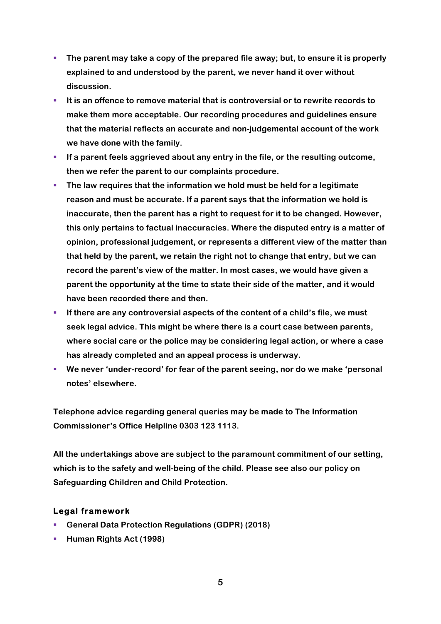- § **The parent may take a copy of the prepared file away; but, to ensure it is properly explained to and understood by the parent, we never hand it over without discussion.**
- § **It is an offence to remove material that is controversial or to rewrite records to make them more acceptable. Our recording procedures and guidelines ensure that the material reflects an accurate and non-judgemental account of the work we have done with the family.**
- **EXPLED IF A parent feels aggrieved about any entry in the file, or the resulting outcome, then we refer the parent to our complaints procedure.**
- § **The law requires that the information we hold must be held for a legitimate reason and must be accurate. If a parent says that the information we hold is inaccurate, then the parent has a right to request for it to be changed. However, this only pertains to factual inaccuracies. Where the disputed entry is a matter of opinion, professional judgement, or represents a different view of the matter than that held by the parent, we retain the right not to change that entry, but we can record the parent's view of the matter. In most cases, we would have given a parent the opportunity at the time to state their side of the matter, and it would have been recorded there and then.**
- § **If there are any controversial aspects of the content of a child's file, we must seek legal advice. This might be where there is a court case between parents, where social care or the police may be considering legal action, or where a case has already completed and an appeal process is underway.**
- § **We never 'under-record' for fear of the parent seeing, nor do we make 'personal notes' elsewhere.**

**Telephone advice regarding general queries may be made to The Information Commissioner's Office Helpline 0303 123 1113.**

**All the undertakings above are subject to the paramount commitment of our setting, which is to the safety and well-being of the child. Please see also our policy on Safeguarding Children and Child Protection.**

#### **Legal framework**

- § **General Data Protection Regulations (GDPR) (2018)**
- § **Human Rights Act (1998)**